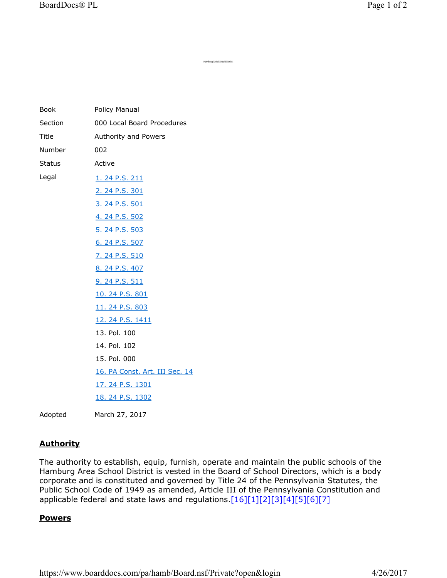| Book    | Policy Manual                  |
|---------|--------------------------------|
| Section | 000 Local Board Procedures     |
| Title   | Authority and Powers           |
| Number  | 002                            |
| Status  | Active                         |
| Legal   | 1. 24 P.S. 211                 |
|         | 2. 24 P.S. 301                 |
|         | 3. 24 P.S. 501                 |
|         | 4. 24 P.S. 502                 |
|         | 5. 24 P.S. 503                 |
|         | 6. 24 P.S. 507                 |
|         | 7. 24 P.S. 510                 |
|         | 8. 24 P.S. 407                 |
|         | 9. 24 P.S. 511                 |
|         | 10. 24 P.S. 801                |
|         | 11. 24 P.S. 803                |
|         | 12. 24 P.S. 1411               |
|         | 13. Pol. 100                   |
|         | 14. Pol. 102                   |
|         | 15. Pol. 000                   |
|         | 16. PA Const. Art. III Sec. 14 |
|         | 17. 24 P.S. 1301               |
|         | 18. 24 P.S. 1302               |
|         |                                |

Adopted March 27, 2017

## **Authority**

The authority to establish, equip, furnish, operate and maintain the public schools of the Hamburg Area School District is vested in the Board of School Directors, which is a body corporate and is constituted and governed by Title 24 of the Pennsylvania Statutes, the Public School Code of 1949 as amended, Article III of the Pennsylvania Constitution and applicable federal and state laws and regulations.[16][1][2][3][4][5][6][7]

Hamburg Area School District

## **Powers**

https://www.boarddocs.com/pa/hamb/Board.nsf/Private?open&login 4/26/2017